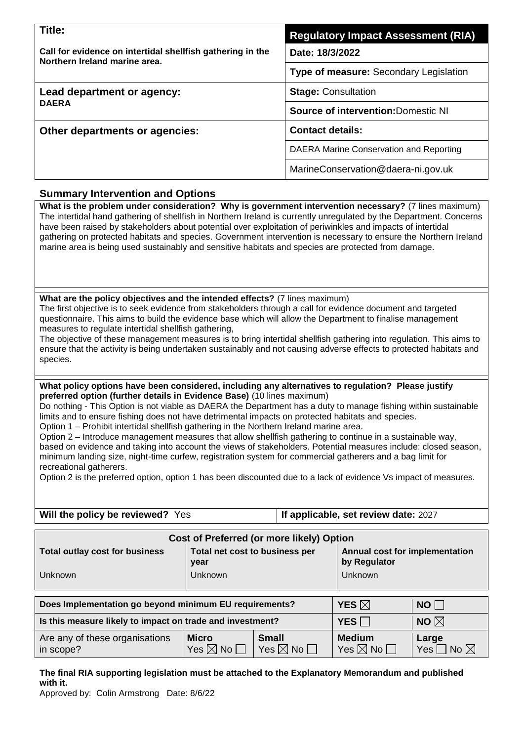| Title:                                                                                      | <b>Regulatory Impact Assessment (RIA)</b>     |  |  |
|---------------------------------------------------------------------------------------------|-----------------------------------------------|--|--|
| Call for evidence on intertidal shellfish gathering in the<br>Northern Ireland marine area. | Date: 18/3/2022                               |  |  |
|                                                                                             | <b>Type of measure: Secondary Legislation</b> |  |  |
| Lead department or agency:                                                                  | <b>Stage: Consultation</b>                    |  |  |
| <b>DAERA</b>                                                                                | <b>Source of intervention: Domestic NI</b>    |  |  |
| Other departments or agencies:                                                              | <b>Contact details:</b>                       |  |  |
|                                                                                             | DAERA Marine Conservation and Reporting       |  |  |
|                                                                                             | MarineConservation@daera-ni.gov.uk            |  |  |

### **Summary Intervention and Options**

**What is the problem under consideration? Why is government intervention necessary?** (7 lines maximum) The intertidal hand gathering of shellfish in Northern Ireland is currently unregulated by the Department. Concerns have been raised by stakeholders about potential over exploitation of periwinkles and impacts of intertidal gathering on protected habitats and species. Government intervention is necessary to ensure the Northern Ireland marine area is being used sustainably and sensitive habitats and species are protected from damage.

#### **What are the policy objectives and the intended effects?** (7 lines maximum)

The first objective is to seek evidence from stakeholders through a call for evidence document and targeted questionnaire. This aims to build the evidence base which will allow the Department to finalise management measures to regulate intertidal shellfish gathering,

The objective of these management measures is to bring intertidal shellfish gathering into regulation. This aims to ensure that the activity is being undertaken sustainably and not causing adverse effects to protected habitats and species.

#### **What policy options have been considered, including any alternatives to regulation? Please justify preferred option (further details in Evidence Base)** (10 lines maximum)

Do nothing - This Option is not viable as DAERA the Department has a duty to manage fishing within sustainable limits and to ensure fishing does not have detrimental impacts on protected habitats and species. Option 1 – Prohibit intertidal shellfish gathering in the Northern Ireland marine area.

Option 2 – Introduce management measures that allow shellfish gathering to continue in a sustainable way,

based on evidence and taking into account the views of stakeholders. Potential measures include: closed season, minimum landing size, night-time curfew, registration system for commercial gatherers and a bag limit for recreational gatherers.

Option 2 is the preferred option, option 1 has been discounted due to a lack of evidence Vs impact of measures.

**Will the policy be reviewed?** Yes **If applicable, set review date: 2027** 

| Cost of Preferred (or more likely) Option |                                        |                                                |  |  |  |
|-------------------------------------------|----------------------------------------|------------------------------------------------|--|--|--|
| <b>Total outlay cost for business</b>     | Total net cost to business per<br>vear | Annual cost for implementation<br>by Regulator |  |  |  |
| Unknown                                   | Unknown                                | <b>Unknown</b>                                 |  |  |  |

| Does Implementation go beyond minimum EU requirements?    | YES $\boxtimes$                            | <b>NO</b>                             |
|-----------------------------------------------------------|--------------------------------------------|---------------------------------------|
| Is this measure likely to impact on trade and investment? | YES                                        | NO $\boxtimes$                        |
| Are any of these organisations<br>in scope?               | <b>Medium</b><br>Yes $\boxtimes$ No $\Box$ | Large<br><b>Yes</b><br>No $\boxtimes$ |

**The final RIA supporting legislation must be attached to the Explanatory Memorandum and published with it.**

Approved by: Colin Armstrong Date: 8/6/22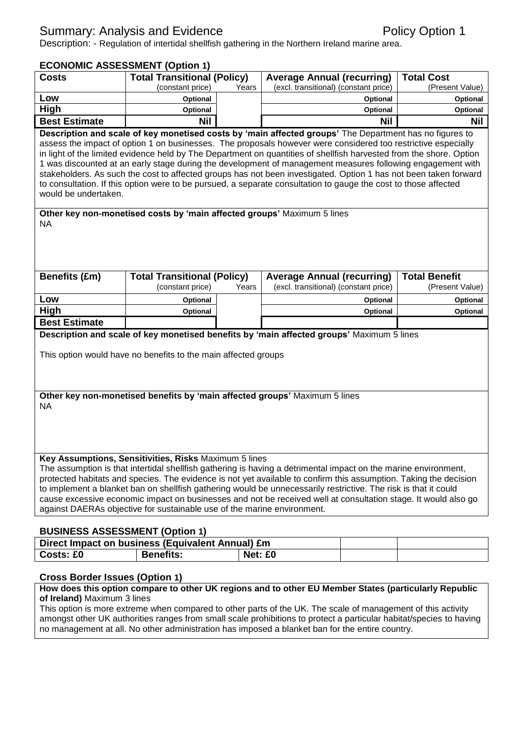# Summary: Analysis and Evidence **Policy Option 1** Policy Option 1

Description: - Regulation of intertidal shellfish gathering in the Northern Ireland marine area.

# **ECONOMIC ASSESSMENT (Option 1)**

| <b>Costs</b>                                                                                                      | ECONOMIC ASSESSMENT (OPUULLI)<br><b>Total Transitional (Policy)</b>     |         | <b>Average Annual (recurring)</b>                                                                                   | <b>Total Cost</b>    |
|-------------------------------------------------------------------------------------------------------------------|-------------------------------------------------------------------------|---------|---------------------------------------------------------------------------------------------------------------------|----------------------|
|                                                                                                                   | (constant price)                                                        | Years   | (excl. transitional) (constant price)                                                                               | (Present Value)      |
| Low                                                                                                               | Optional                                                                |         | Optional                                                                                                            | Optional             |
| High                                                                                                              | Optional                                                                |         | Optional                                                                                                            | Optional             |
| <b>Best Estimate</b>                                                                                              | <b>Nil</b>                                                              |         | <b>Nil</b>                                                                                                          | <b>Nil</b>           |
|                                                                                                                   |                                                                         |         | Description and scale of key monetised costs by 'main affected groups' The Department has no figures to             |                      |
|                                                                                                                   |                                                                         |         | assess the impact of option 1 on businesses. The proposals however were considered too restrictive especially       |                      |
|                                                                                                                   |                                                                         |         | in light of the limited evidence held by The Department on quantities of shellfish harvested from the shore. Option |                      |
|                                                                                                                   |                                                                         |         | 1 was discounted at an early stage during the development of management measures following engagement with          |                      |
|                                                                                                                   |                                                                         |         | stakeholders. As such the cost to affected groups has not been investigated. Option 1 has not been taken forward    |                      |
|                                                                                                                   |                                                                         |         | to consultation. If this option were to be pursued, a separate consultation to gauge the cost to those affected     |                      |
| would be undertaken.                                                                                              |                                                                         |         |                                                                                                                     |                      |
|                                                                                                                   | Other key non-monetised costs by 'main affected groups' Maximum 5 lines |         |                                                                                                                     |                      |
| NA                                                                                                                |                                                                         |         |                                                                                                                     |                      |
|                                                                                                                   |                                                                         |         |                                                                                                                     |                      |
|                                                                                                                   |                                                                         |         |                                                                                                                     |                      |
|                                                                                                                   |                                                                         |         |                                                                                                                     |                      |
|                                                                                                                   |                                                                         |         |                                                                                                                     |                      |
| <b>Benefits (£m)</b>                                                                                              | <b>Total Transitional (Policy)</b>                                      |         | <b>Average Annual (recurring)</b>                                                                                   | <b>Total Benefit</b> |
|                                                                                                                   | (constant price)                                                        | Years   | (excl. transitional) (constant price)                                                                               | (Present Value)      |
| Low                                                                                                               | Optional                                                                |         | Optional                                                                                                            | Optional             |
| <b>High</b>                                                                                                       | Optional                                                                |         | Optional                                                                                                            | Optional             |
| <b>Best Estimate</b>                                                                                              |                                                                         |         |                                                                                                                     |                      |
|                                                                                                                   |                                                                         |         | Description and scale of key monetised benefits by 'main affected groups' Maximum 5 lines                           |                      |
|                                                                                                                   |                                                                         |         |                                                                                                                     |                      |
|                                                                                                                   | This option would have no benefits to the main affected groups          |         |                                                                                                                     |                      |
|                                                                                                                   |                                                                         |         |                                                                                                                     |                      |
|                                                                                                                   |                                                                         |         |                                                                                                                     |                      |
|                                                                                                                   |                                                                         |         | Other key non-monetised benefits by 'main affected groups' Maximum 5 lines                                          |                      |
| <b>NA</b>                                                                                                         |                                                                         |         |                                                                                                                     |                      |
|                                                                                                                   |                                                                         |         |                                                                                                                     |                      |
|                                                                                                                   |                                                                         |         |                                                                                                                     |                      |
|                                                                                                                   |                                                                         |         |                                                                                                                     |                      |
|                                                                                                                   |                                                                         |         |                                                                                                                     |                      |
| Key Assumptions, Sensitivities, Risks Maximum 5 lines                                                             |                                                                         |         |                                                                                                                     |                      |
| The assumption is that intertidal shellfish gathering is having a detrimental impact on the marine environment,   |                                                                         |         |                                                                                                                     |                      |
| protected habitats and species. The evidence is not yet available to confirm this assumption. Taking the decision |                                                                         |         |                                                                                                                     |                      |
| to implement a blanket ban on shellfish gathering would be unnecessarily restrictive. The risk is that it could   |                                                                         |         |                                                                                                                     |                      |
| cause excessive economic impact on businesses and not be received well at consultation stage. It would also go    |                                                                         |         |                                                                                                                     |                      |
| against DAERAs objective for sustainable use of the marine environment.                                           |                                                                         |         |                                                                                                                     |                      |
|                                                                                                                   |                                                                         |         |                                                                                                                     |                      |
| <b>BUSINESS ASSESSMENT (Option 1)</b><br>Direct Impact on business (Equivalent Annual) £m                         |                                                                         |         |                                                                                                                     |                      |
| Costs: £0                                                                                                         | <b>Benefits:</b>                                                        | Net: £0 |                                                                                                                     |                      |
|                                                                                                                   |                                                                         |         |                                                                                                                     |                      |
|                                                                                                                   |                                                                         |         |                                                                                                                     |                      |
| <b>Cross Border Issues (Option 1)</b>                                                                             |                                                                         |         |                                                                                                                     |                      |

#### **How does this option compare to other UK regions and to other EU Member States (particularly Republic of Ireland)** Maximum 3 lines

This option is more extreme when compared to other parts of the UK. The scale of management of this activity amongst other UK authorities ranges from small scale prohibitions to protect a particular habitat/species to having no management at all. No other administration has imposed a blanket ban for the entire country.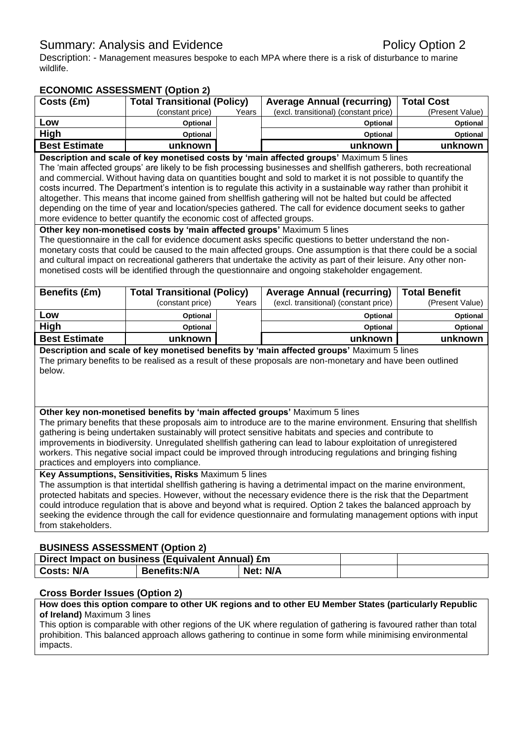# Summary: Analysis and Evidence **Policy Option 2** Policy Option 2

Description: - Management measures bespoke to each MPA where there is a risk of disturbance to marine wildlife.

## **ECONOMIC ASSESSMENT (Option 2)**

| Costs (£m)                                                                                                        | <b>Total Transitional (Policy)</b> |       | <b>Average Annual (recurring)</b>     | <b>Total Cost</b> |  |
|-------------------------------------------------------------------------------------------------------------------|------------------------------------|-------|---------------------------------------|-------------------|--|
|                                                                                                                   | (constant price)                   | Years | (excl. transitional) (constant price) | (Present Value)   |  |
| Low                                                                                                               | <b>Optional</b>                    |       | <b>Optional</b>                       | <b>Optional</b>   |  |
| High                                                                                                              | <b>Optional</b>                    |       | <b>Optional</b>                       | <b>Optional</b>   |  |
| <b>Best Estimate</b>                                                                                              | unknown                            |       | unknown                               | unknown           |  |
| Description and scale of key monetised costs by 'main affected groups' Maximum 5 lines                            |                                    |       |                                       |                   |  |
| The 'main affected groups' are likely to be fish processing businesses and shellfish gatherers, both recreational |                                    |       |                                       |                   |  |

The 'main affected groups' are likely to be fish processing businesses and shellfish gatherers, both recreationa and commercial. Without having data on quantities bought and sold to market it is not possible to quantify the costs incurred. The Department's intention is to regulate this activity in a sustainable way rather than prohibit it altogether. This means that income gained from shellfish gathering will not be halted but could be affected depending on the time of year and location/species gathered. The call for evidence document seeks to gather more evidence to better quantify the economic cost of affected groups.

**Other key non-monetised costs by 'main affected groups'** Maximum 5 lines

The questionnaire in the call for evidence document asks specific questions to better understand the nonmonetary costs that could be caused to the main affected groups. One assumption is that there could be a social and cultural impact on recreational gatherers that undertake the activity as part of their leisure. Any other nonmonetised costs will be identified through the questionnaire and ongoing stakeholder engagement.

| <b>Benefits (£m)</b> | <b>Total Transitional (Policy)</b> |       | <b>Average Annual (recurring)</b>     | <b>Total Benefit</b> |
|----------------------|------------------------------------|-------|---------------------------------------|----------------------|
|                      | (constant price)                   | Years | (excl. transitional) (constant price) | (Present Value)      |
| Low                  | Optional                           |       | <b>Optional</b>                       | <b>Optional</b>      |
| High                 | <b>Optional</b>                    |       | <b>Optional</b>                       | <b>Optional</b>      |
| <b>Best Estimate</b> | unknown                            |       | unknown                               | unknown              |

**Description and scale of key monetised benefits by 'main affected groups'** Maximum 5 lines The primary benefits to be realised as a result of these proposals are non-monetary and have been outlined below.

#### **Other key non-monetised benefits by 'main affected groups'** Maximum 5 lines

The primary benefits that these proposals aim to introduce are to the marine environment. Ensuring that shellfish gathering is being undertaken sustainably will protect sensitive habitats and species and contribute to improvements in biodiversity. Unregulated shellfish gathering can lead to labour exploitation of unregistered workers. This negative social impact could be improved through introducing regulations and bringing fishing practices and employers into compliance.

#### **Key Assumptions, Sensitivities, Risks** Maximum 5 lines

The assumption is that intertidal shellfish gathering is having a detrimental impact on the marine environment, protected habitats and species. However, without the necessary evidence there is the risk that the Department could introduce regulation that is above and beyond what is required. Option 2 takes the balanced approach by seeking the evidence through the call for evidence questionnaire and formulating management options with input from stakeholders.

### **BUSINESS ASSESSMENT (Option 2)**

| Direct Impact on business (Equivalent Annual) £m |                     |          |  |
|--------------------------------------------------|---------------------|----------|--|
| <b>Costs: N/A</b>                                | <b>Benefits:N/A</b> | Net: N/A |  |

### **Cross Border Issues (Option 2)**

**How does this option compare to other UK regions and to other EU Member States (particularly Republic of Ireland)** Maximum 3 lines

This option is comparable with other regions of the UK where regulation of gathering is favoured rather than total prohibition. This balanced approach allows gathering to continue in some form while minimising environmental impacts.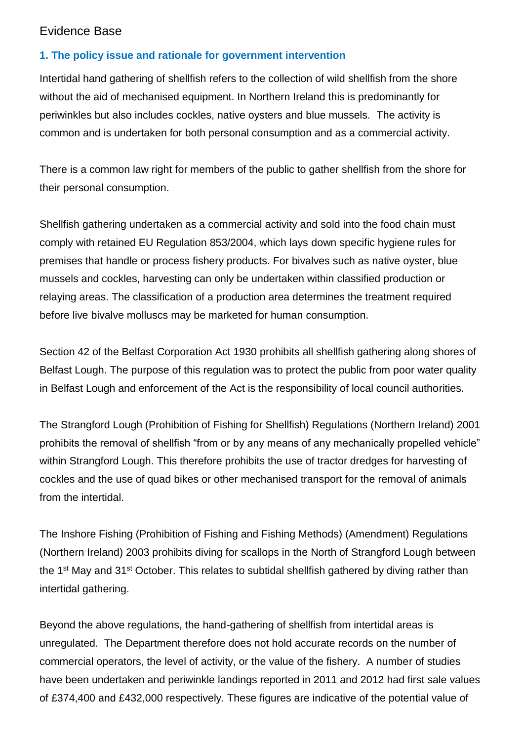# Evidence Base

# **1. The policy issue and rationale for government intervention**

Intertidal hand gathering of shellfish refers to the collection of wild shellfish from the shore without the aid of mechanised equipment. In Northern Ireland this is predominantly for periwinkles but also includes cockles, native oysters and blue mussels. The activity is common and is undertaken for both personal consumption and as a commercial activity.

There is a common law right for members of the public to gather shellfish from the shore for their personal consumption.

Shellfish gathering undertaken as a commercial activity and sold into the food chain must comply with retained EU Regulation 853/2004, which lays down specific hygiene rules for premises that handle or process fishery products. For bivalves such as native oyster, blue mussels and cockles, harvesting can only be undertaken within classified production or relaying areas. The classification of a production area determines the treatment required before live bivalve molluscs may be marketed for human consumption.

Section 42 of the Belfast Corporation Act 1930 prohibits all shellfish gathering along shores of Belfast Lough. The purpose of this regulation was to protect the public from poor water quality in Belfast Lough and enforcement of the Act is the responsibility of local council authorities.

The Strangford Lough (Prohibition of Fishing for Shellfish) Regulations (Northern Ireland) 2001 prohibits the removal of shellfish "from or by any means of any mechanically propelled vehicle" within Strangford Lough. This therefore prohibits the use of tractor dredges for harvesting of cockles and the use of quad bikes or other mechanised transport for the removal of animals from the intertidal.

The Inshore Fishing (Prohibition of Fishing and Fishing Methods) (Amendment) Regulations (Northern Ireland) 2003 prohibits diving for scallops in the North of Strangford Lough between the 1<sup>st</sup> May and 31<sup>st</sup> October. This relates to subtidal shellfish gathered by diving rather than intertidal gathering.

Beyond the above regulations, the hand-gathering of shellfish from intertidal areas is unregulated. The Department therefore does not hold accurate records on the number of commercial operators, the level of activity, or the value of the fishery. A number of studies have been undertaken and periwinkle landings reported in 2011 and 2012 had first sale values of £374,400 and £432,000 respectively. These figures are indicative of the potential value of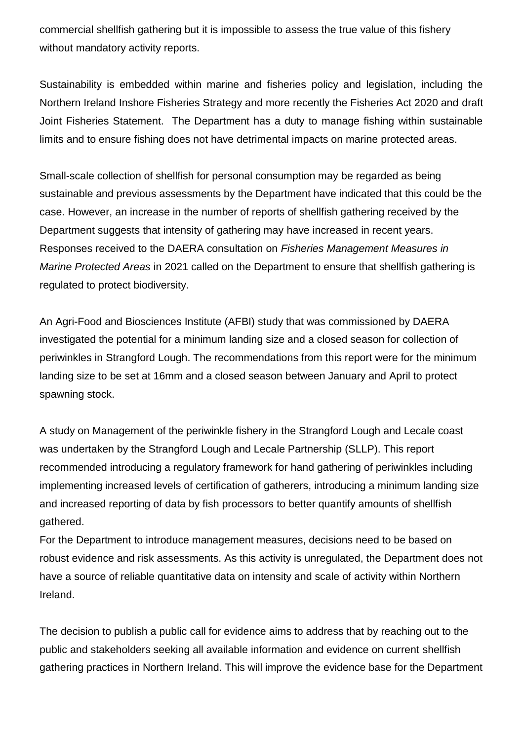commercial shellfish gathering but it is impossible to assess the true value of this fishery without mandatory activity reports.

Sustainability is embedded within marine and fisheries policy and legislation, including the Northern Ireland Inshore Fisheries Strategy and more recently the Fisheries Act 2020 and draft Joint Fisheries Statement. The Department has a duty to manage fishing within sustainable limits and to ensure fishing does not have detrimental impacts on marine protected areas.

Small-scale collection of shellfish for personal consumption may be regarded as being sustainable and previous assessments by the Department have indicated that this could be the case. However, an increase in the number of reports of shellfish gathering received by the Department suggests that intensity of gathering may have increased in recent years. Responses received to the DAERA consultation on *Fisheries Management Measures in Marine Protected Areas* in 2021 called on the Department to ensure that shellfish gathering is regulated to protect biodiversity.

An Agri-Food and Biosciences Institute (AFBI) study that was commissioned by DAERA investigated the potential for a minimum landing size and a closed season for collection of periwinkles in Strangford Lough. The recommendations from this report were for the minimum landing size to be set at 16mm and a closed season between January and April to protect spawning stock.

A study on Management of the periwinkle fishery in the Strangford Lough and Lecale coast was undertaken by the Strangford Lough and Lecale Partnership (SLLP). This report recommended introducing a regulatory framework for hand gathering of periwinkles including implementing increased levels of certification of gatherers, introducing a minimum landing size and increased reporting of data by fish processors to better quantify amounts of shellfish gathered.

For the Department to introduce management measures, decisions need to be based on robust evidence and risk assessments. As this activity is unregulated, the Department does not have a source of reliable quantitative data on intensity and scale of activity within Northern Ireland.

The decision to publish a public call for evidence aims to address that by reaching out to the public and stakeholders seeking all available information and evidence on current shellfish gathering practices in Northern Ireland. This will improve the evidence base for the Department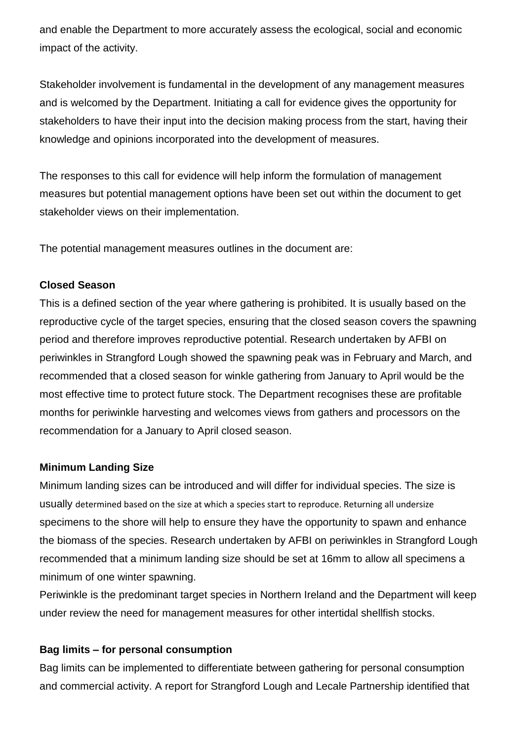and enable the Department to more accurately assess the ecological, social and economic impact of the activity.

Stakeholder involvement is fundamental in the development of any management measures and is welcomed by the Department. Initiating a call for evidence gives the opportunity for stakeholders to have their input into the decision making process from the start, having their knowledge and opinions incorporated into the development of measures.

The responses to this call for evidence will help inform the formulation of management measures but potential management options have been set out within the document to get stakeholder views on their implementation.

The potential management measures outlines in the document are:

# **Closed Season**

This is a defined section of the year where gathering is prohibited. It is usually based on the reproductive cycle of the target species, ensuring that the closed season covers the spawning period and therefore improves reproductive potential. Research undertaken by AFBI on periwinkles in Strangford Lough showed the spawning peak was in February and March, and recommended that a closed season for winkle gathering from January to April would be the most effective time to protect future stock. The Department recognises these are profitable months for periwinkle harvesting and welcomes views from gathers and processors on the recommendation for a January to April closed season.

### **Minimum Landing Size**

Minimum landing sizes can be introduced and will differ for individual species. The size is usually determined based on the size at which a species start to reproduce. Returning all undersize specimens to the shore will help to ensure they have the opportunity to spawn and enhance the biomass of the species. Research undertaken by AFBI on periwinkles in Strangford Lough recommended that a minimum landing size should be set at 16mm to allow all specimens a minimum of one winter spawning.

Periwinkle is the predominant target species in Northern Ireland and the Department will keep under review the need for management measures for other intertidal shellfish stocks.

### **Bag limits – for personal consumption**

Bag limits can be implemented to differentiate between gathering for personal consumption and commercial activity. A report for Strangford Lough and Lecale Partnership identified that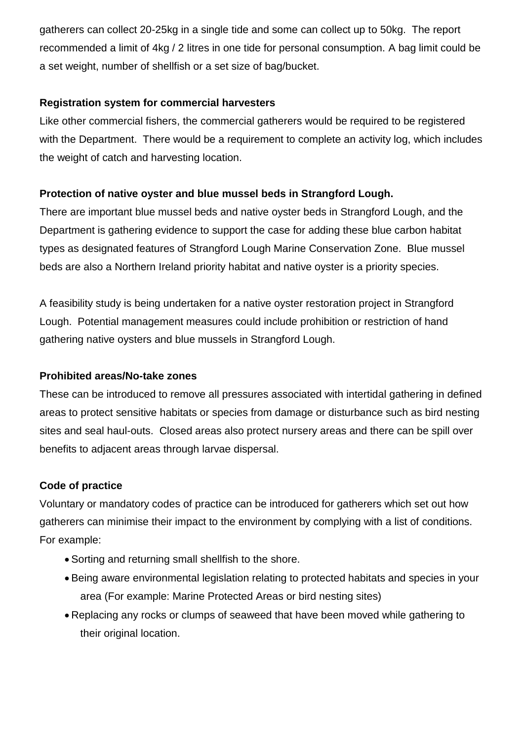gatherers can collect 20-25kg in a single tide and some can collect up to 50kg. The report recommended a limit of 4kg / 2 litres in one tide for personal consumption. A bag limit could be a set weight, number of shellfish or a set size of bag/bucket.

# **Registration system for commercial harvesters**

Like other commercial fishers, the commercial gatherers would be required to be registered with the Department. There would be a requirement to complete an activity log, which includes the weight of catch and harvesting location.

# **Protection of native oyster and blue mussel beds in Strangford Lough.**

There are important blue mussel beds and native oyster beds in Strangford Lough, and the Department is gathering evidence to support the case for adding these blue carbon habitat types as designated features of Strangford Lough Marine Conservation Zone. Blue mussel beds are also a Northern Ireland priority habitat and native oyster is a priority species.

A feasibility study is being undertaken for a native oyster restoration project in Strangford Lough. Potential management measures could include prohibition or restriction of hand gathering native oysters and blue mussels in Strangford Lough.

# **Prohibited areas/No-take zones**

These can be introduced to remove all pressures associated with intertidal gathering in defined areas to protect sensitive habitats or species from damage or disturbance such as bird nesting sites and seal haul-outs. Closed areas also protect nursery areas and there can be spill over benefits to adjacent areas through larvae dispersal.

# **Code of practice**

Voluntary or mandatory codes of practice can be introduced for gatherers which set out how gatherers can minimise their impact to the environment by complying with a list of conditions. For example:

- Sorting and returning small shellfish to the shore.
- Being aware environmental legislation relating to protected habitats and species in your area (For example: Marine Protected Areas or bird nesting sites)
- Replacing any rocks or clumps of seaweed that have been moved while gathering to their original location.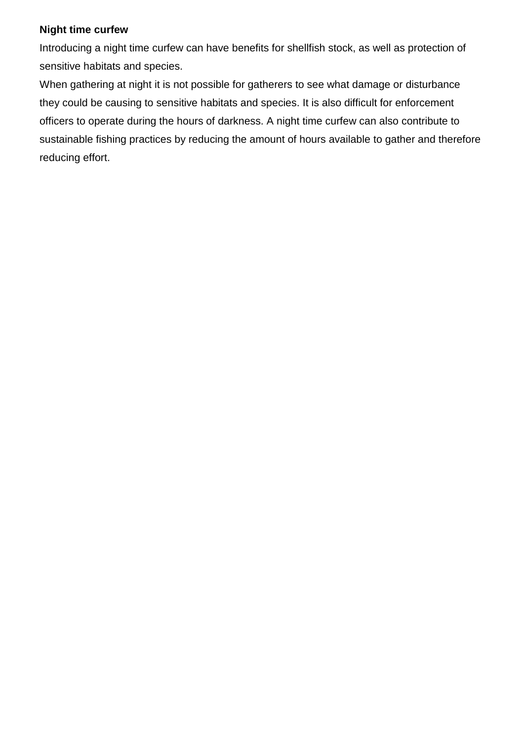## **Night time curfew**

Introducing a night time curfew can have benefits for shellfish stock, as well as protection of sensitive habitats and species.

When gathering at night it is not possible for gatherers to see what damage or disturbance they could be causing to sensitive habitats and species. It is also difficult for enforcement officers to operate during the hours of darkness. A night time curfew can also contribute to sustainable fishing practices by reducing the amount of hours available to gather and therefore reducing effort.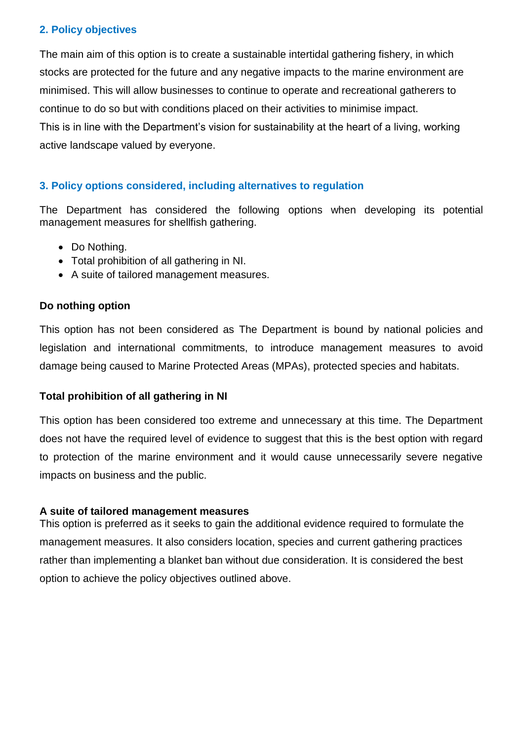# **2. Policy objectives**

The main aim of this option is to create a sustainable intertidal gathering fishery, in which stocks are protected for the future and any negative impacts to the marine environment are minimised. This will allow businesses to continue to operate and recreational gatherers to continue to do so but with conditions placed on their activities to minimise impact. This is in line with the Department's vision for sustainability at the heart of a living, working active landscape valued by everyone.

# **3. Policy options considered, including alternatives to regulation**

The Department has considered the following options when developing its potential management measures for shellfish gathering.

- Do Nothina.
- Total prohibition of all gathering in NI.
- A suite of tailored management measures.

# **Do nothing option**

This option has not been considered as The Department is bound by national policies and legislation and international commitments, to introduce management measures to avoid damage being caused to Marine Protected Areas (MPAs), protected species and habitats.

# **Total prohibition of all gathering in NI**

This option has been considered too extreme and unnecessary at this time. The Department does not have the required level of evidence to suggest that this is the best option with regard to protection of the marine environment and it would cause unnecessarily severe negative impacts on business and the public.

# **A suite of tailored management measures**

This option is preferred as it seeks to gain the additional evidence required to formulate the management measures. It also considers location, species and current gathering practices rather than implementing a blanket ban without due consideration. It is considered the best option to achieve the policy objectives outlined above.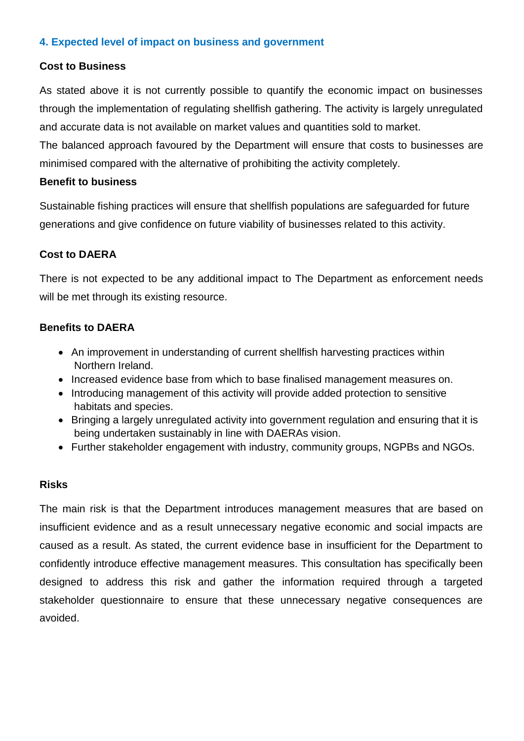## **4. Expected level of impact on business and government**

## **Cost to Business**

As stated above it is not currently possible to quantify the economic impact on businesses through the implementation of regulating shellfish gathering. The activity is largely unregulated and accurate data is not available on market values and quantities sold to market.

The balanced approach favoured by the Department will ensure that costs to businesses are minimised compared with the alternative of prohibiting the activity completely.

### **Benefit to business**

Sustainable fishing practices will ensure that shellfish populations are safeguarded for future generations and give confidence on future viability of businesses related to this activity.

## **Cost to DAERA**

There is not expected to be any additional impact to The Department as enforcement needs will be met through its existing resource.

## **Benefits to DAERA**

- An improvement in understanding of current shellfish harvesting practices within Northern Ireland.
- Increased evidence base from which to base finalised management measures on.
- Introducing management of this activity will provide added protection to sensitive habitats and species.
- Bringing a largely unregulated activity into government regulation and ensuring that it is being undertaken sustainably in line with DAERAs vision.
- Further stakeholder engagement with industry, community groups, NGPBs and NGOs.

### **Risks**

The main risk is that the Department introduces management measures that are based on insufficient evidence and as a result unnecessary negative economic and social impacts are caused as a result. As stated, the current evidence base in insufficient for the Department to confidently introduce effective management measures. This consultation has specifically been designed to address this risk and gather the information required through a targeted stakeholder questionnaire to ensure that these unnecessary negative consequences are avoided.